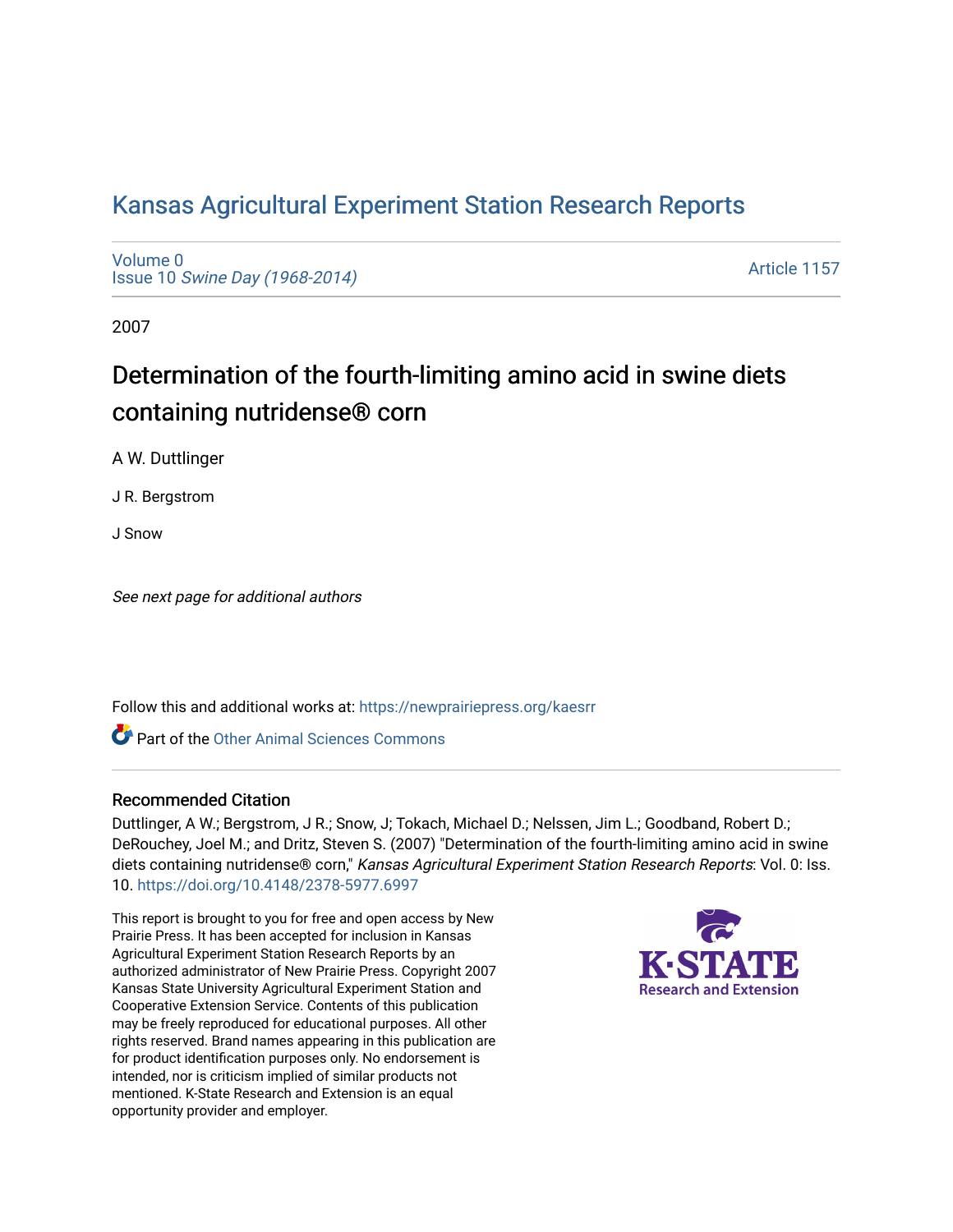## [Kansas Agricultural Experiment Station Research Reports](https://newprairiepress.org/kaesrr)

[Volume 0](https://newprairiepress.org/kaesrr/vol0) Issue 10 [Swine Day \(1968-2014\)](https://newprairiepress.org/kaesrr/vol0/iss10)

[Article 1157](https://newprairiepress.org/kaesrr/vol0/iss10/1157) 

2007

# Determination of the fourth-limiting amino acid in swine diets containing nutridense® corn

A W. Duttlinger

J R. Bergstrom

J Snow

See next page for additional authors

Follow this and additional works at: [https://newprairiepress.org/kaesrr](https://newprairiepress.org/kaesrr?utm_source=newprairiepress.org%2Fkaesrr%2Fvol0%2Fiss10%2F1157&utm_medium=PDF&utm_campaign=PDFCoverPages) 

Part of the [Other Animal Sciences Commons](http://network.bepress.com/hgg/discipline/82?utm_source=newprairiepress.org%2Fkaesrr%2Fvol0%2Fiss10%2F1157&utm_medium=PDF&utm_campaign=PDFCoverPages)

#### Recommended Citation

Duttlinger, A W.; Bergstrom, J R.; Snow, J; Tokach, Michael D.; Nelssen, Jim L.; Goodband, Robert D.; DeRouchey, Joel M.; and Dritz, Steven S. (2007) "Determination of the fourth-limiting amino acid in swine diets containing nutridense® corn," Kansas Agricultural Experiment Station Research Reports: Vol. 0: Iss. 10.<https://doi.org/10.4148/2378-5977.6997>

This report is brought to you for free and open access by New Prairie Press. It has been accepted for inclusion in Kansas Agricultural Experiment Station Research Reports by an authorized administrator of New Prairie Press. Copyright 2007 Kansas State University Agricultural Experiment Station and Cooperative Extension Service. Contents of this publication may be freely reproduced for educational purposes. All other rights reserved. Brand names appearing in this publication are for product identification purposes only. No endorsement is intended, nor is criticism implied of similar products not mentioned. K-State Research and Extension is an equal opportunity provider and employer.

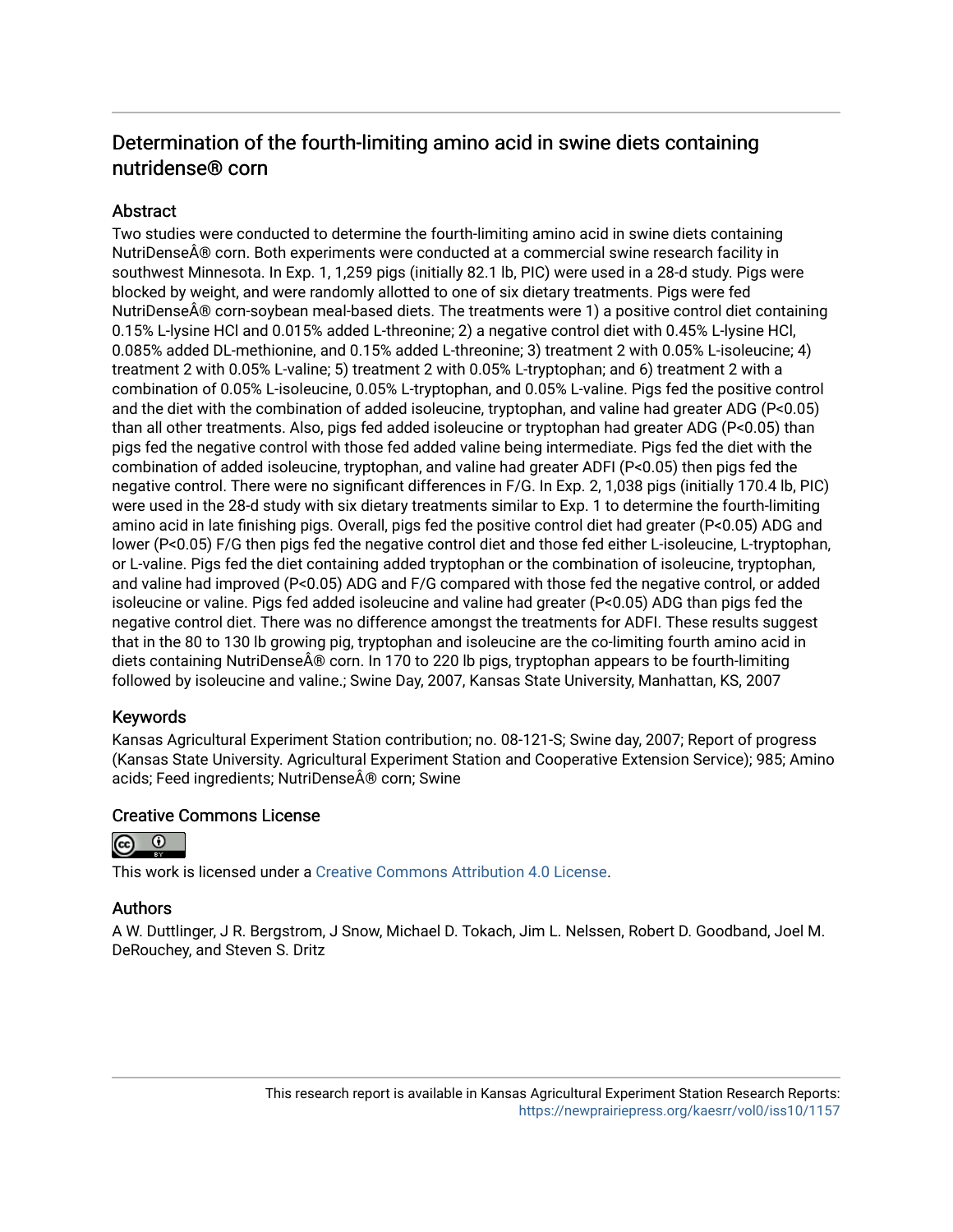### Determination of the fourth-limiting amino acid in swine diets containing nutridense® corn

#### **Abstract**

Two studies were conducted to determine the fourth-limiting amino acid in swine diets containing NutriDense® corn. Both experiments were conducted at a commercial swine research facility in southwest Minnesota. In Exp. 1, 1,259 pigs (initially 82.1 lb, PIC) were used in a 28-d study. Pigs were blocked by weight, and were randomly allotted to one of six dietary treatments. Pigs were fed NutriDense® corn-soybean meal-based diets. The treatments were 1) a positive control diet containing 0.15% L-lysine HCl and 0.015% added L-threonine; 2) a negative control diet with 0.45% L-lysine HCl, 0.085% added DL-methionine, and 0.15% added L-threonine; 3) treatment 2 with 0.05% L-isoleucine; 4) treatment 2 with 0.05% L-valine; 5) treatment 2 with 0.05% L-tryptophan; and 6) treatment 2 with a combination of 0.05% L-isoleucine, 0.05% L-tryptophan, and 0.05% L-valine. Pigs fed the positive control and the diet with the combination of added isoleucine, tryptophan, and valine had greater ADG (P<0.05) than all other treatments. Also, pigs fed added isoleucine or tryptophan had greater ADG (P<0.05) than pigs fed the negative control with those fed added valine being intermediate. Pigs fed the diet with the combination of added isoleucine, tryptophan, and valine had greater ADFI (P<0.05) then pigs fed the negative control. There were no significant differences in F/G. In Exp. 2, 1,038 pigs (initially 170.4 lb, PIC) were used in the 28-d study with six dietary treatments similar to Exp. 1 to determine the fourth-limiting amino acid in late finishing pigs. Overall, pigs fed the positive control diet had greater (P<0.05) ADG and lower (P<0.05) F/G then pigs fed the negative control diet and those fed either L-isoleucine, L-tryptophan, or L-valine. Pigs fed the diet containing added tryptophan or the combination of isoleucine, tryptophan, and valine had improved (P<0.05) ADG and F/G compared with those fed the negative control, or added isoleucine or valine. Pigs fed added isoleucine and valine had greater (P<0.05) ADG than pigs fed the negative control diet. There was no difference amongst the treatments for ADFI. These results suggest that in the 80 to 130 lb growing pig, tryptophan and isoleucine are the co-limiting fourth amino acid in diets containing NutriDense $\hat{A} \circledast$  corn. In 170 to 220 lb pigs, tryptophan appears to be fourth-limiting followed by isoleucine and valine.; Swine Day, 2007, Kansas State University, Manhattan, KS, 2007

#### Keywords

Kansas Agricultural Experiment Station contribution; no. 08-121-S; Swine day, 2007; Report of progress (Kansas State University. Agricultural Experiment Station and Cooperative Extension Service); 985; Amino acids; Feed ingredients; NutriDense® corn; Swine

#### Creative Commons License



This work is licensed under a [Creative Commons Attribution 4.0 License](https://creativecommons.org/licenses/by/4.0/).

#### Authors

A W. Duttlinger, J R. Bergstrom, J Snow, Michael D. Tokach, Jim L. Nelssen, Robert D. Goodband, Joel M. DeRouchey, and Steven S. Dritz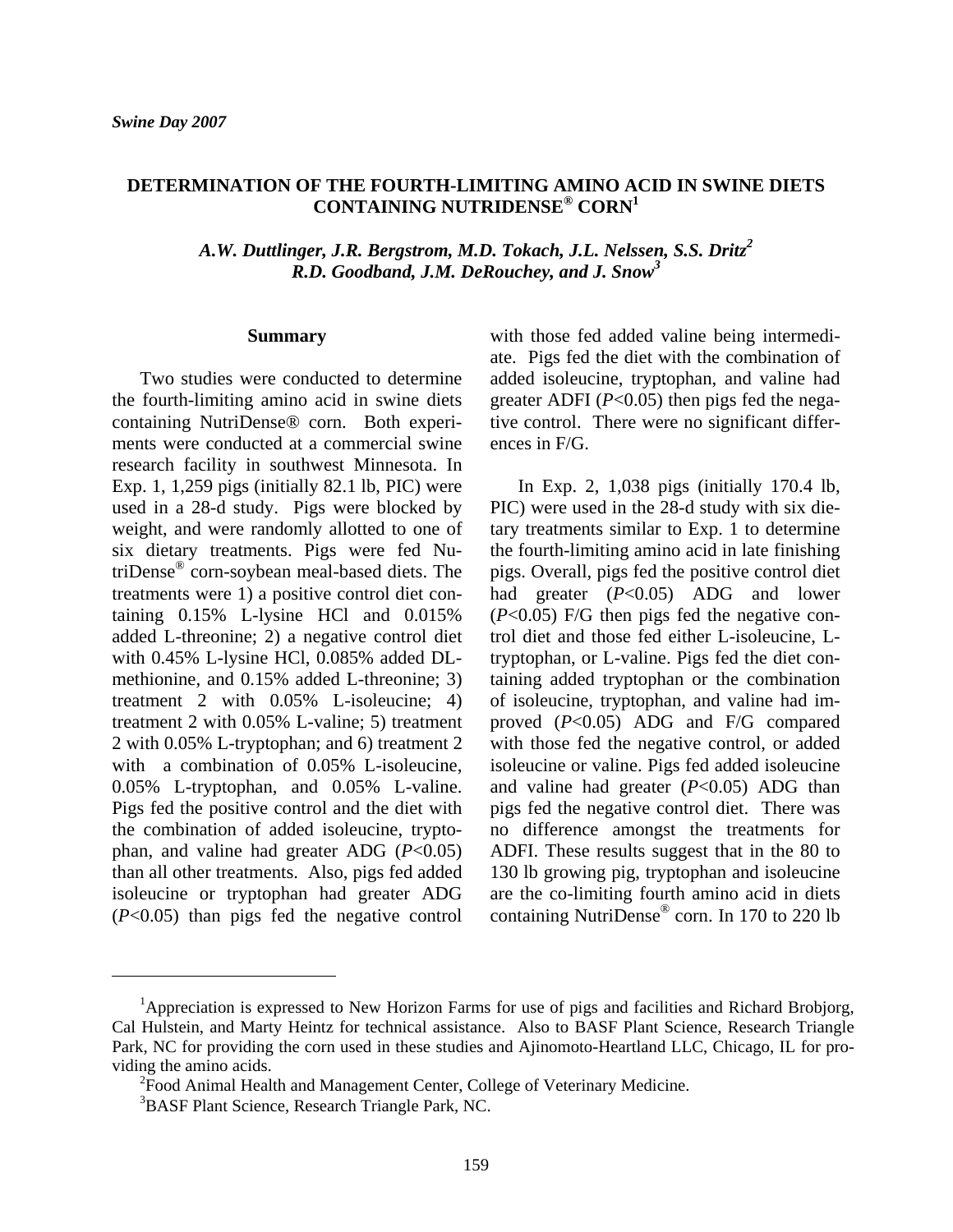#### **DETERMINATION OF THE FOURTH-LIMITING AMINO ACID IN SWINE DIETS CONTAINING NUTRIDENSE® CORN1**

*A.W. Duttlinger, J.R. Bergstrom, M.D. Tokach, J.L. Nelssen, S.S. Dritz2 R.D. Goodband, J.M. DeRouchey, and J. Snow3* 

#### **Summary**

Two studies were conducted to determine the fourth-limiting amino acid in swine diets containing NutriDense® corn. Both experiments were conducted at a commercial swine research facility in southwest Minnesota. In Exp. 1, 1,259 pigs (initially 82.1 lb, PIC) were used in a 28-d study. Pigs were blocked by weight, and were randomly allotted to one of six dietary treatments. Pigs were fed NutriDense® corn-soybean meal-based diets. The treatments were 1) a positive control diet containing 0.15% L-lysine HCl and 0.015% added L-threonine; 2) a negative control diet with 0.45% L-lysine HCl, 0.085% added DLmethionine, and 0.15% added L-threonine; 3) treatment 2 with 0.05% L-isoleucine; 4) treatment 2 with 0.05% L-valine; 5) treatment 2 with 0.05% L-tryptophan; and 6) treatment 2 with a combination of 0.05% L-isoleucine, 0.05% L-tryptophan, and 0.05% L-valine. Pigs fed the positive control and the diet with the combination of added isoleucine, tryptophan, and valine had greater ADG (*P*<0.05) than all other treatments. Also, pigs fed added isoleucine or tryptophan had greater ADG (*P*<0.05) than pigs fed the negative control

with those fed added valine being intermediate. Pigs fed the diet with the combination of added isoleucine, tryptophan, and valine had greater ADFI (*P*<0.05) then pigs fed the negative control. There were no significant differences in F/G.

In Exp. 2, 1,038 pigs (initially 170.4 lb, PIC) were used in the 28-d study with six dietary treatments similar to Exp. 1 to determine the fourth-limiting amino acid in late finishing pigs. Overall, pigs fed the positive control diet had greater (*P*<0.05) ADG and lower (*P*<0.05) F/G then pigs fed the negative control diet and those fed either L-isoleucine, Ltryptophan, or L-valine. Pigs fed the diet containing added tryptophan or the combination of isoleucine, tryptophan, and valine had improved (*P*<0.05) ADG and F/G compared with those fed the negative control, or added isoleucine or valine. Pigs fed added isoleucine and valine had greater (*P*<0.05) ADG than pigs fed the negative control diet. There was no difference amongst the treatments for ADFI. These results suggest that in the 80 to 130 lb growing pig, tryptophan and isoleucine are the co-limiting fourth amino acid in diets containing NutriDense® corn. In 170 to 220 lb

<sup>&</sup>lt;sup>1</sup>Appreciation is expressed to New Horizon Farms for use of pigs and facilities and Richard Brobjorg, Cal Hulstein, and Marty Heintz for technical assistance. Also to BASF Plant Science, Research Triangle Park, NC for providing the corn used in these studies and Ajinomoto-Heartland LLC, Chicago, IL for providing the amino acids.

<sup>&</sup>lt;sup>2</sup> Food Animal Health and Management Center, College of Veterinary Medicine.

<sup>3</sup> BASF Plant Science, Research Triangle Park, NC.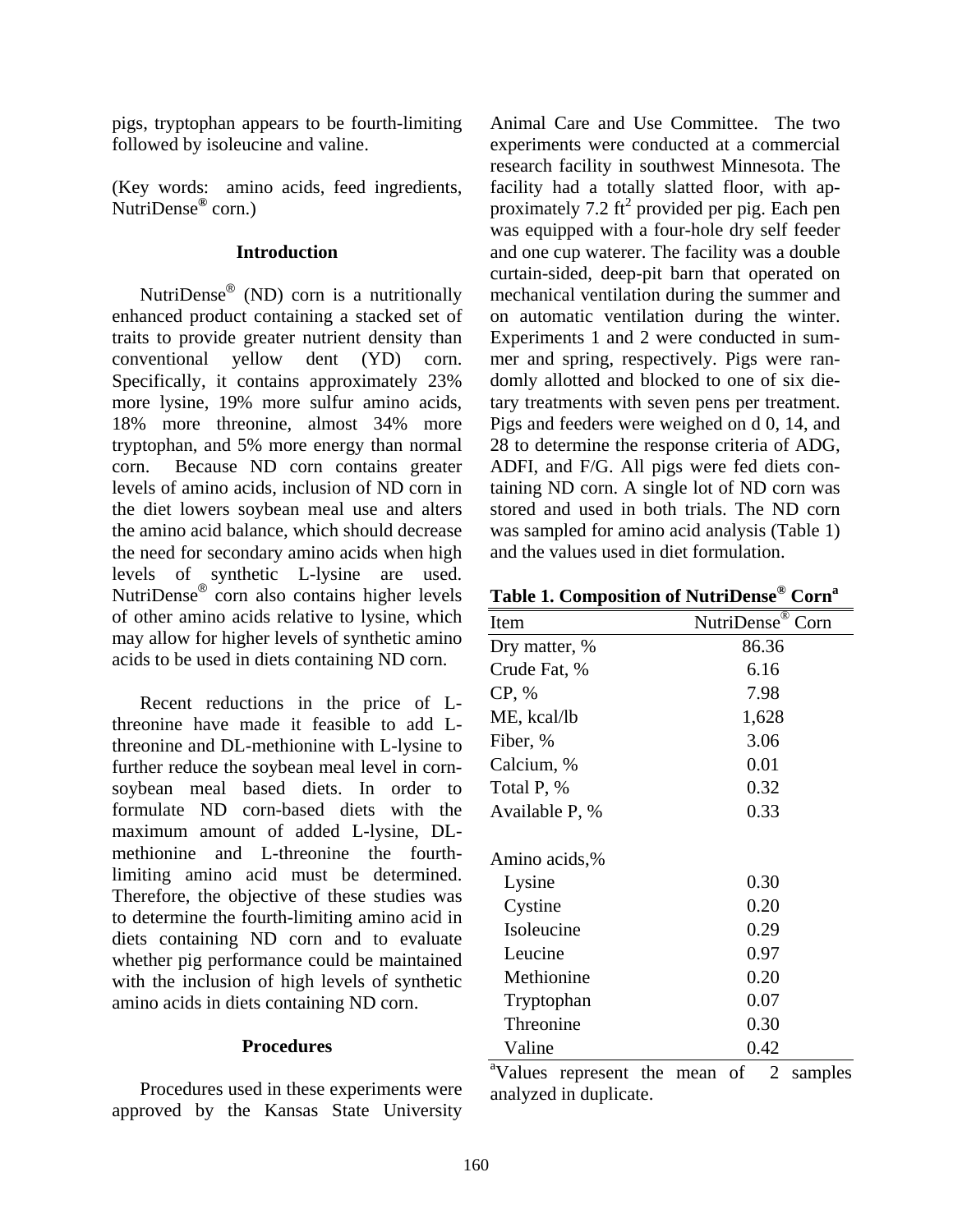pigs, tryptophan appears to be fourth-limiting followed by isoleucine and valine.

(Key words: amino acids, feed ingredients, NutriDense**®** corn.)

#### **Introduction**

 NutriDense® (ND) corn is a nutritionally enhanced product containing a stacked set of traits to provide greater nutrient density than conventional yellow dent (YD) corn. Specifically, it contains approximately 23% more lysine, 19% more sulfur amino acids, 18% more threonine, almost 34% more tryptophan, and 5% more energy than normal corn. Because ND corn contains greater levels of amino acids, inclusion of ND corn in the diet lowers soybean meal use and alters the amino acid balance, which should decrease the need for secondary amino acids when high levels of synthetic L-lysine are used. NutriDense® corn also contains higher levels of other amino acids relative to lysine, which may allow for higher levels of synthetic amino acids to be used in diets containing ND corn.

 Recent reductions in the price of Lthreonine have made it feasible to add Lthreonine and DL-methionine with L-lysine to further reduce the soybean meal level in cornsoybean meal based diets. In order to formulate ND corn-based diets with the maximum amount of added L-lysine, DLmethionine and L-threonine the fourthlimiting amino acid must be determined. Therefore, the objective of these studies was to determine the fourth-limiting amino acid in diets containing ND corn and to evaluate whether pig performance could be maintained with the inclusion of high levels of synthetic amino acids in diets containing ND corn.

#### **Procedures**

Procedures used in these experiments were approved by the Kansas State University Animal Care and Use Committee. The two experiments were conducted at a commercial research facility in southwest Minnesota. The facility had a totally slatted floor, with approximately 7.2  $\text{ft}^2$  provided per pig. Each pen was equipped with a four-hole dry self feeder and one cup waterer. The facility was a double curtain-sided, deep-pit barn that operated on mechanical ventilation during the summer and on automatic ventilation during the winter. Experiments 1 and 2 were conducted in summer and spring, respectively. Pigs were randomly allotted and blocked to one of six dietary treatments with seven pens per treatment. Pigs and feeders were weighed on d 0, 14, and 28 to determine the response criteria of ADG, ADFI, and F/G. All pigs were fed diets containing ND corn. A single lot of ND corn was stored and used in both trials. The ND corn was sampled for amino acid analysis (Table 1) and the values used in diet formulation.

**Table 1. Composition of NutriDense® Corna**

| Item                |           |       |      | <b>NutriDense</b> | ®     | Corn    |
|---------------------|-----------|-------|------|-------------------|-------|---------|
| Dry matter, %       |           |       |      |                   | 86.36 |         |
| Crude Fat, %        |           |       |      |                   | 6.16  |         |
| CP, %               |           |       |      |                   | 7.98  |         |
| ME, kcal/lb         |           | 1,628 |      |                   |       |         |
| Fiber, %            |           |       |      |                   | 3.06  |         |
| Calcium, %          |           |       |      |                   | 0.01  |         |
| Total P, %          |           |       |      |                   | 0.32  |         |
| Available P, %      |           | 0.33  |      |                   |       |         |
| Amino acids,%       |           |       |      |                   |       |         |
| Lysine              |           |       |      |                   | 0.30  |         |
| Cystine             |           |       |      |                   | 0.20  |         |
| Isoleucine          |           |       |      |                   | 0.29  |         |
| Leucine             |           | 0.97  |      |                   |       |         |
| Methionine          |           | 0.20  |      |                   |       |         |
| Tryptophan          |           |       |      |                   | 0.07  |         |
| Threonine           |           |       |      |                   | 0.30  |         |
| Valine              |           |       |      |                   | 0.42  |         |
| <sup>a</sup> Values | represent | the   | mean | of                | 2     | samples |

analyzed in duplicate.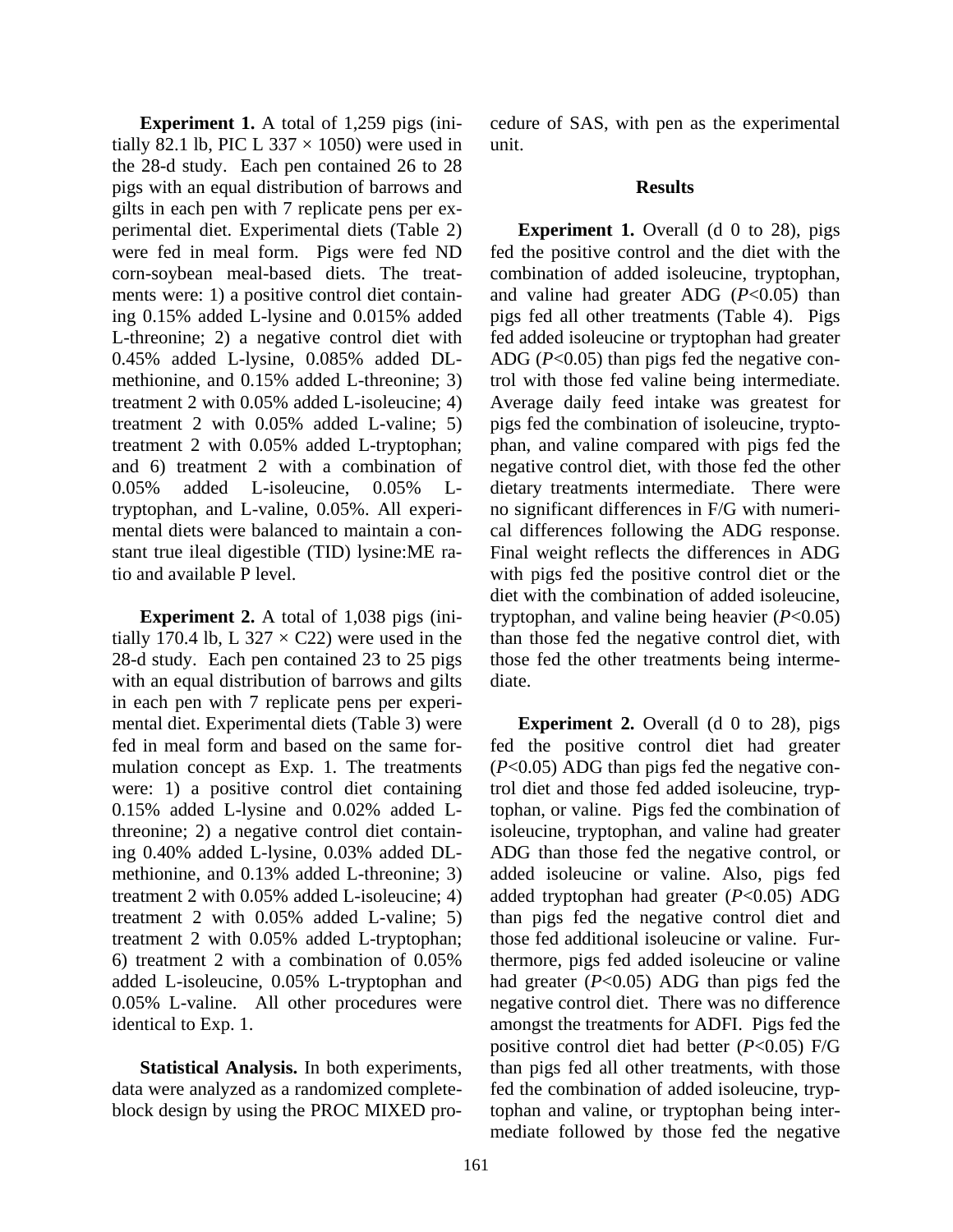**Experiment 1.** A total of 1,259 pigs (initially 82.1 lb, PIC L 337  $\times$  1050) were used in the 28-d study. Each pen contained 26 to 28 pigs with an equal distribution of barrows and gilts in each pen with 7 replicate pens per experimental diet. Experimental diets (Table 2) were fed in meal form. Pigs were fed ND corn-soybean meal-based diets. The treatments were: 1) a positive control diet containing 0.15% added L-lysine and 0.015% added L-threonine; 2) a negative control diet with 0.45% added L-lysine, 0.085% added DLmethionine, and 0.15% added L-threonine; 3) treatment 2 with 0.05% added L-isoleucine; 4) treatment 2 with 0.05% added L-valine; 5) treatment 2 with 0.05% added L-tryptophan; and 6) treatment 2 with a combination of 0.05% added L-isoleucine, 0.05% Ltryptophan, and L-valine, 0.05%. All experimental diets were balanced to maintain a constant true ileal digestible (TID) lysine:ME ratio and available P level.

**Experiment 2.** A total of 1,038 pigs (initially 170.4 lb, L  $327 \times C22$ ) were used in the 28-d study. Each pen contained 23 to 25 pigs with an equal distribution of barrows and gilts in each pen with 7 replicate pens per experimental diet. Experimental diets (Table 3) were fed in meal form and based on the same formulation concept as Exp. 1. The treatments were: 1) a positive control diet containing 0.15% added L-lysine and 0.02% added Lthreonine; 2) a negative control diet containing 0.40% added L-lysine, 0.03% added DLmethionine, and 0.13% added L-threonine; 3) treatment 2 with 0.05% added L-isoleucine; 4) treatment 2 with 0.05% added L-valine; 5) treatment 2 with 0.05% added L-tryptophan; 6) treatment 2 with a combination of 0.05% added L-isoleucine, 0.05% L-tryptophan and 0.05% L-valine. All other procedures were identical to Exp. 1.

**Statistical Analysis.** In both experiments, data were analyzed as a randomized completeblock design by using the PROC MIXED procedure of SAS, with pen as the experimental unit.

#### **Results**

**Experiment 1.** Overall (d 0 to 28), pigs fed the positive control and the diet with the combination of added isoleucine, tryptophan, and valine had greater ADG  $(P<0.05)$  than pigs fed all other treatments (Table 4). Pigs fed added isoleucine or tryptophan had greater ADG (*P*<0.05) than pigs fed the negative control with those fed valine being intermediate. Average daily feed intake was greatest for pigs fed the combination of isoleucine, tryptophan, and valine compared with pigs fed the negative control diet, with those fed the other dietary treatments intermediate. There were no significant differences in F/G with numerical differences following the ADG response. Final weight reflects the differences in ADG with pigs fed the positive control diet or the diet with the combination of added isoleucine, tryptophan, and valine being heavier (*P*<0.05) than those fed the negative control diet, with those fed the other treatments being intermediate.

**Experiment 2.** Overall (d 0 to 28), pigs fed the positive control diet had greater (*P*<0.05) ADG than pigs fed the negative control diet and those fed added isoleucine, tryptophan, or valine. Pigs fed the combination of isoleucine, tryptophan, and valine had greater ADG than those fed the negative control, or added isoleucine or valine. Also, pigs fed added tryptophan had greater (*P*<0.05) ADG than pigs fed the negative control diet and those fed additional isoleucine or valine. Furthermore, pigs fed added isoleucine or valine had greater (*P*<0.05) ADG than pigs fed the negative control diet. There was no difference amongst the treatments for ADFI. Pigs fed the positive control diet had better (*P*<0.05) F/G than pigs fed all other treatments, with those fed the combination of added isoleucine, tryptophan and valine, or tryptophan being intermediate followed by those fed the negative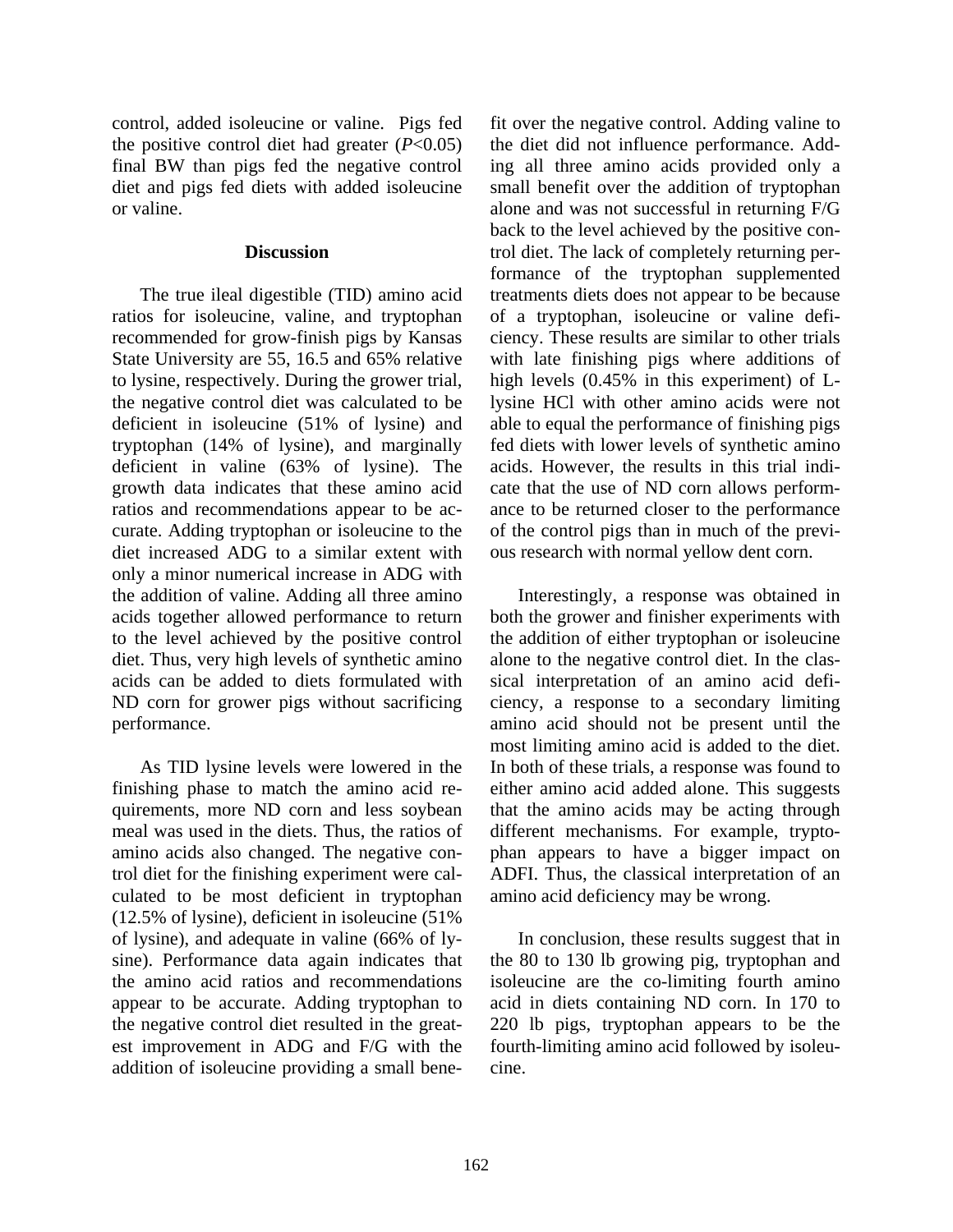control, added isoleucine or valine. Pigs fed the positive control diet had greater (*P*<0.05) final BW than pigs fed the negative control diet and pigs fed diets with added isoleucine or valine.

#### **Discussion**

The true ileal digestible (TID) amino acid ratios for isoleucine, valine, and tryptophan recommended for grow-finish pigs by Kansas State University are 55, 16.5 and 65% relative to lysine, respectively. During the grower trial, the negative control diet was calculated to be deficient in isoleucine (51% of lysine) and tryptophan (14% of lysine), and marginally deficient in valine (63% of lysine). The growth data indicates that these amino acid ratios and recommendations appear to be accurate. Adding tryptophan or isoleucine to the diet increased ADG to a similar extent with only a minor numerical increase in ADG with the addition of valine. Adding all three amino acids together allowed performance to return to the level achieved by the positive control diet. Thus, very high levels of synthetic amino acids can be added to diets formulated with ND corn for grower pigs without sacrificing performance.

As TID lysine levels were lowered in the finishing phase to match the amino acid requirements, more ND corn and less soybean meal was used in the diets. Thus, the ratios of amino acids also changed. The negative control diet for the finishing experiment were calculated to be most deficient in tryptophan (12.5% of lysine), deficient in isoleucine (51% of lysine), and adequate in valine (66% of lysine). Performance data again indicates that the amino acid ratios and recommendations appear to be accurate. Adding tryptophan to the negative control diet resulted in the greatest improvement in ADG and F/G with the addition of isoleucine providing a small benefit over the negative control. Adding valine to the diet did not influence performance. Adding all three amino acids provided only a small benefit over the addition of tryptophan alone and was not successful in returning F/G back to the level achieved by the positive control diet. The lack of completely returning performance of the tryptophan supplemented treatments diets does not appear to be because of a tryptophan, isoleucine or valine deficiency. These results are similar to other trials with late finishing pigs where additions of high levels (0.45% in this experiment) of Llysine HCl with other amino acids were not able to equal the performance of finishing pigs fed diets with lower levels of synthetic amino acids. However, the results in this trial indicate that the use of ND corn allows performance to be returned closer to the performance of the control pigs than in much of the previous research with normal yellow dent corn.

Interestingly, a response was obtained in both the grower and finisher experiments with the addition of either tryptophan or isoleucine alone to the negative control diet. In the classical interpretation of an amino acid deficiency, a response to a secondary limiting amino acid should not be present until the most limiting amino acid is added to the diet. In both of these trials, a response was found to either amino acid added alone. This suggests that the amino acids may be acting through different mechanisms. For example, tryptophan appears to have a bigger impact on ADFI. Thus, the classical interpretation of an amino acid deficiency may be wrong.

In conclusion, these results suggest that in the 80 to 130 lb growing pig, tryptophan and isoleucine are the co-limiting fourth amino acid in diets containing ND corn. In 170 to 220 lb pigs, tryptophan appears to be the fourth-limiting amino acid followed by isoleucine.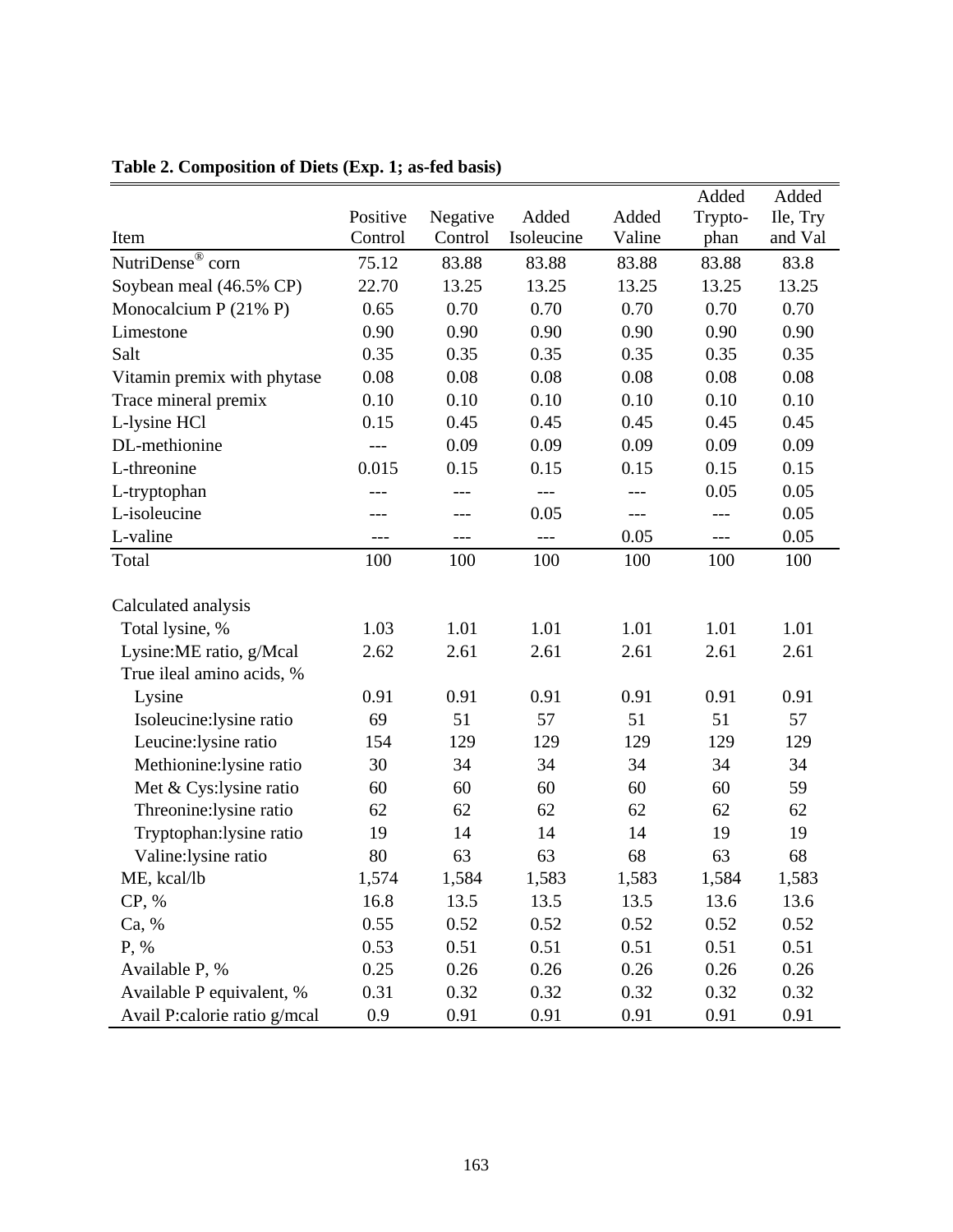| Item                                                 | Positive<br>Control | Negative<br>Control | Added<br>Isoleucine | Added<br>Valine | Added<br>Trypto-<br>phan | Added<br>Ile, Try<br>and Val |
|------------------------------------------------------|---------------------|---------------------|---------------------|-----------------|--------------------------|------------------------------|
| NutriDense® corn                                     | 75.12               | 83.88               | 83.88               | 83.88           | 83.88                    | 83.8                         |
| Soybean meal (46.5% CP)                              | 22.70               | 13.25               | 13.25               | 13.25           | 13.25                    | 13.25                        |
| Monocalcium P $(21\% P)$                             | 0.65                | 0.70                | 0.70                | 0.70            | 0.70                     | 0.70                         |
| Limestone                                            | 0.90                | 0.90                | 0.90                | 0.90            | 0.90                     | 0.90                         |
| Salt                                                 | 0.35                | 0.35                | 0.35                | 0.35            | 0.35                     | 0.35                         |
| Vitamin premix with phytase                          | 0.08                | 0.08                | 0.08                | 0.08            | 0.08                     | 0.08                         |
| Trace mineral premix                                 | 0.10                | 0.10                | 0.10                | 0.10            | 0.10                     | 0.10                         |
| L-lysine HCl                                         | 0.15                | 0.45                | 0.45                | 0.45            | 0.45                     | 0.45                         |
| DL-methionine                                        |                     | 0.09                | 0.09                | 0.09            | 0.09                     | 0.09                         |
| L-threonine                                          | 0.015               | 0.15                | 0.15                | 0.15            | 0.15                     | 0.15                         |
| L-tryptophan                                         | ---                 | $---$               | $---$               | $\frac{1}{2}$   | 0.05                     | 0.05                         |
| L-isoleucine                                         | ---                 | $---$               | 0.05                | $\frac{1}{2}$   | $---$                    | 0.05                         |
| L-valine                                             | ---                 | $---$               |                     | 0.05            | $---$                    | 0.05                         |
| Total                                                | 100                 | 100                 | 100                 | 100             | 100                      | 100                          |
| Calculated analysis<br>Total lysine, %               | 1.03                | 1.01                | 1.01                | 1.01            | 1.01                     | 1.01                         |
|                                                      | 2.62                | 2.61                | 2.61                | 2.61            | 2.61                     | 2.61                         |
| Lysine:ME ratio, g/Mcal<br>True ileal amino acids, % |                     |                     |                     |                 |                          |                              |
| Lysine                                               | 0.91                | 0.91                | 0.91                | 0.91            | 0.91                     | 0.91                         |
| Isoleucine:lysine ratio                              | 69                  | 51                  | 57                  | 51              | 51                       | 57                           |
| Leucine: lysine ratio                                | 154                 | 129                 | 129                 | 129             | 129                      | 129                          |
| Methionine:lysine ratio                              | 30                  | 34                  | 34                  | 34              | 34                       | 34                           |
| Met & Cys: lysine ratio                              | 60                  | 60                  | 60                  | 60              | 60                       | 59                           |
| Threonine: lysine ratio                              | 62                  | 62                  | 62                  | 62              | 62                       | 62                           |
| Tryptophan: lysine ratio                             | 19                  | 14                  | 14                  | 14              | 19                       | 19                           |
| Valine: lysine ratio                                 | 80                  | 63                  | 63                  | 68              | 63                       | 68                           |
| ME, kcal/lb                                          | 1,574               | 1,584               | 1,583               | 1,583           | 1,584                    | 1,583                        |
| CP, %                                                | 16.8                | 13.5                | 13.5                | 13.5            | 13.6                     | 13.6                         |
| Ca, %                                                | 0.55                | 0.52                | 0.52                | 0.52            | 0.52                     | 0.52                         |
| P, %                                                 | 0.53                | 0.51                | 0.51                | 0.51            | 0.51                     | 0.51                         |
| Available P, %                                       | 0.25                | 0.26                | 0.26                | 0.26            | 0.26                     | 0.26                         |
| Available P equivalent, %                            | 0.31                | 0.32                | 0.32                | 0.32            | 0.32                     | 0.32                         |
| Avail P:calorie ratio g/mcal                         | 0.9                 | 0.91                | 0.91                | 0.91            | 0.91                     | 0.91                         |

### **Table 2. Composition of Diets (Exp. 1; as-fed basis)**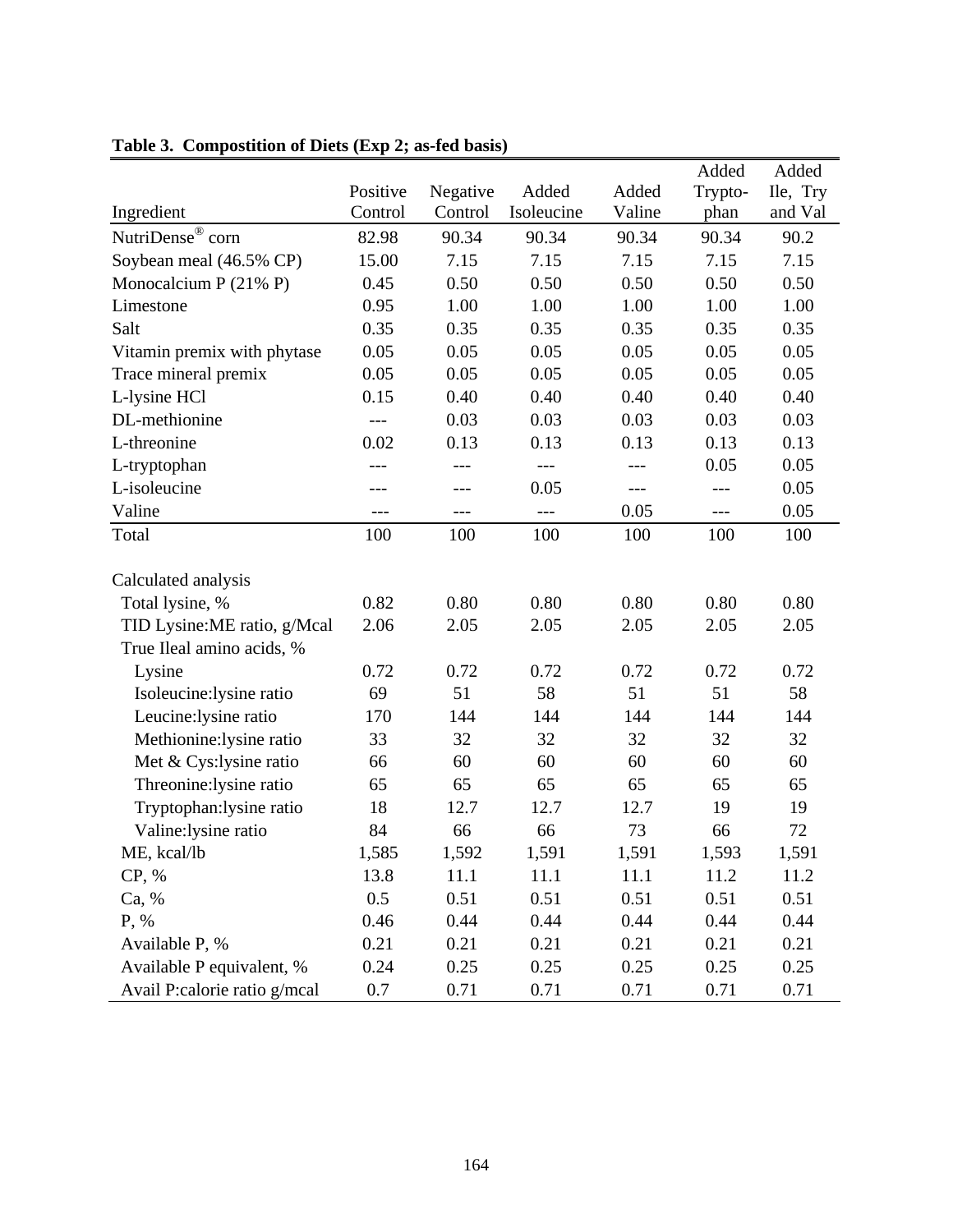|                                                                      |          |                     |            |        | Added   | Added    |
|----------------------------------------------------------------------|----------|---------------------|------------|--------|---------|----------|
|                                                                      | Positive | Negative            | Added      | Added  | Trypto- | Ile, Try |
| Ingredient                                                           | Control  | Control             | Isoleucine | Valine | phan    | and Val  |
| $\overline{\text{NutriDense}}^{\textcircled{\tiny{\textcirc}}}$ corn | 82.98    | 90.34               | 90.34      | 90.34  | 90.34   | 90.2     |
| Soybean meal (46.5% CP)                                              | 15.00    | 7.15                | 7.15       | 7.15   | 7.15    | 7.15     |
| Monocalcium P $(21\% P)$                                             | 0.45     | 0.50                | 0.50       | 0.50   | 0.50    | 0.50     |
| Limestone                                                            | 0.95     | 1.00                | 1.00       | 1.00   | 1.00    | 1.00     |
| Salt                                                                 | 0.35     | 0.35                | 0.35       | 0.35   | 0.35    | 0.35     |
| Vitamin premix with phytase                                          | 0.05     | 0.05                | 0.05       | 0.05   | 0.05    | 0.05     |
| Trace mineral premix                                                 | 0.05     | 0.05                | 0.05       | 0.05   | 0.05    | 0.05     |
| L-lysine HCl                                                         | 0.15     | 0.40                | 0.40       | 0.40   | 0.40    | 0.40     |
| DL-methionine                                                        | $---$    | 0.03                | 0.03       | 0.03   | 0.03    | 0.03     |
| L-threonine                                                          | 0.02     | 0.13                | 0.13       | 0.13   | 0.13    | 0.13     |
| L-tryptophan                                                         | ---      | $---$               | $---$      | ---    | 0.05    | 0.05     |
| L-isoleucine                                                         |          | $---$               | 0.05       | $---$  | ---     | 0.05     |
| Valine                                                               | ---      | $\qquad \qquad - -$ | $---$      | 0.05   | ---     | 0.05     |
| Total                                                                | 100      | 100                 | 100        | 100    | 100     | 100      |
|                                                                      |          |                     |            |        |         |          |
| Calculated analysis                                                  |          |                     |            |        |         |          |
| Total lysine, %                                                      | 0.82     | 0.80                | 0.80       | 0.80   | 0.80    | 0.80     |
| TID Lysine: ME ratio, g/Mcal                                         | 2.06     | 2.05                | 2.05       | 2.05   | 2.05    | 2.05     |
| True Ileal amino acids, %                                            |          |                     |            |        |         |          |
| Lysine                                                               | 0.72     | 0.72                | 0.72       | 0.72   | 0.72    | 0.72     |
| Isoleucine:lysine ratio                                              | 69       | 51                  | 58         | 51     | 51      | 58       |
| Leucine:lysine ratio                                                 | 170      | 144                 | 144        | 144    | 144     | 144      |
| Methionine:lysine ratio                                              | 33       | 32                  | 32         | 32     | 32      | 32       |
| Met & Cys: lysine ratio                                              | 66       | 60                  | 60         | 60     | 60      | 60       |
| Threonine: lysine ratio                                              | 65       | 65                  | 65         | 65     | 65      | 65       |
| Tryptophan: lysine ratio                                             | 18       | 12.7                | 12.7       | 12.7   | 19      | 19       |
| Valine: lysine ratio                                                 | 84       | 66                  | 66         | 73     | 66      | 72       |
| ME, kcal/lb                                                          | 1,585    | 1,592               | 1,591      | 1,591  | 1,593   | 1,591    |
| CP, %                                                                | 13.8     | 11.1                | 11.1       | 11.1   | 11.2    | 11.2     |
| Ca, %                                                                | 0.5      | 0.51                | 0.51       | 0.51   | 0.51    | 0.51     |
| P, %                                                                 | 0.46     | 0.44                | 0.44       | 0.44   | 0.44    | 0.44     |
| Available P, %                                                       | 0.21     | 0.21                | 0.21       | 0.21   | 0.21    | 0.21     |
| Available P equivalent, %                                            | 0.24     | 0.25                | 0.25       | 0.25   | 0.25    | 0.25     |
| Avail P:calorie ratio g/mcal                                         | 0.7      | 0.71                | 0.71       | 0.71   | 0.71    | 0.71     |

### **Table 3. Compostition of Diets (Exp 2; as-fed basis)**